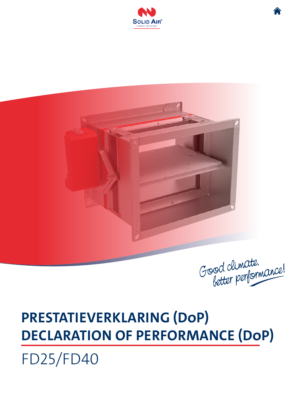



Good climate.<br>better performance!

## **PRESTATIEVERKLARING (DoP) DECLARATION OF PERFORMANCE (DoP)**

FD25/FD40